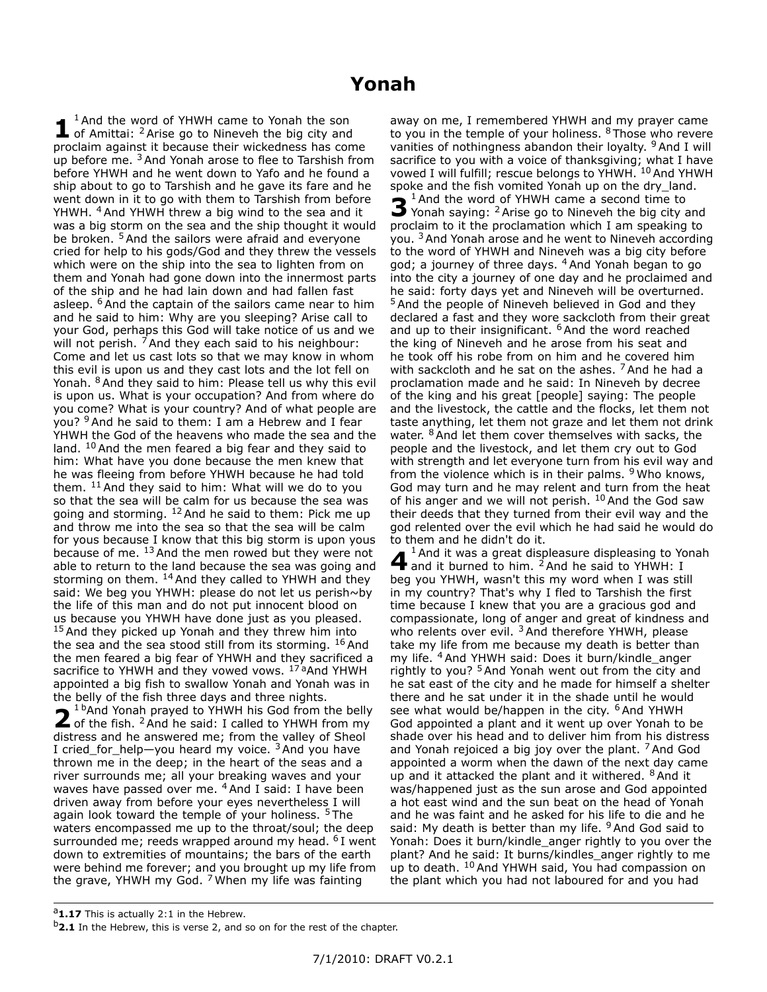## **Yonah**

**1** <sup>1</sup> And the word of YHWH came to Yonah the son of Amittai: <sup>2</sup> Arise go to Nineveh the big city and proclaim against it because their wickedness has come up before me. <sup>3</sup> And Yonah arose to flee to Tarshish from before YHWH and he went down to Yafo and he found a ship about to go to Tarshish and he gave its fare and he went down in it to go with them to Tarshish from before YHWH. <sup>4</sup> And YHWH threw a big wind to the sea and it was a big storm on the sea and the ship thought it would be broken. <sup>5</sup> And the sailors were afraid and everyone cried for help to his gods/God and they threw the vessels which were on the ship into the sea to lighten from on them and Yonah had gone down into the innermost parts of the ship and he had lain down and had fallen fast asleep. <sup>6</sup> And the captain of the sailors came near to him and he said to him: Why are you sleeping? Arise call to your God, perhaps this God will take notice of us and we will not perish.  $7$  And they each said to his neighbour: Come and let us cast lots so that we may know in whom this evil is upon us and they cast lots and the lot fell on Yonah. <sup>8</sup> And they said to him: Please tell us why this evil is upon us. What is your occupation? And from where do you come? What is your country? And of what people are you? <sup>9</sup> And he said to them: I am a Hebrew and I fear YHWH the God of the heavens who made the sea and the land. <sup>10</sup> And the men feared a big fear and they said to him: What have you done because the men knew that he was fleeing from before YHWH because he had told them.  $11$  And they said to him: What will we do to you so that the sea will be calm for us because the sea was going and storming. <sup>12</sup> And he said to them: Pick me up and throw me into the sea so that the sea will be calm for yous because I know that this big storm is upon yous because of me.  $^{13}$  And the men rowed but they were not able to return to the land because the sea was going and storming on them. <sup>14</sup> And they called to YHWH and they said: We beg you YHWH: please do not let us perish~by the life of this man and do not put innocent blood on us because you YHWH have done just as you pleased. <sup>15</sup> And they picked up Yonah and they threw him into the sea and the sea stood still from its storming.  $16$  And the men feared a big fear of YHWH and they sacrificed a sacrifice to YHWH and they vowed vows. <sup>17 a</sup>And YHWH appointed a big fish to swallow Yonah and Yonah was in the belly of the fish three days and three nights.

**2**<sup>1 D</sup>And Yonah prayed to YHWH his God from the belly<br>of the fish. <sup>2</sup> And he said: I called to YHWH from my <sup>1 b</sup>And Yonah prayed to YHWH his God from the belly distress and he answered me; from the valley of Sheol I cried\_for\_help—you heard my voice.  $3$  And you have thrown me in the deep; in the heart of the seas and a river surrounds me; all your breaking waves and your waves have passed over me. <sup>4</sup> And I said: I have been driven away from before your eyes nevertheless I will again look toward the temple of your holiness. <sup>5</sup> The waters encompassed me up to the throat/soul; the deep surrounded me; reeds wrapped around my head. <sup>6</sup> I went down to extremities of mountains; the bars of the earth were behind me forever; and you brought up my life from the grave, YHWH my God.  $7$  When my life was fainting

away on me, I remembered YHWH and my prayer came to you in the temple of your holiness. <sup>8</sup> Those who revere vanities of nothingness abandon their loyalty. <sup>9</sup> And I will sacrifice to you with a voice of thanksgiving; what I have vowed I will fulfill; rescue belongs to YHWH. 10 And YHWH spoke and the fish vomited Yonah up on the dry\_land. **3** <sup>1</sup>And the word of YHWH came a second time to Yonah saying: <sup>2</sup> Arise go to Nineveh the big city Yonah saying: <sup>2</sup> Arise go to Nineveh the big city and proclaim to it the proclamation which I am speaking to you.<sup>3</sup> And Yonah arose and he went to Nineveh according to the word of YHWH and Nineveh was a big city before god; a journey of three days. <sup>4</sup> And Yonah began to go into the city a journey of one day and he proclaimed and he said: forty days yet and Nineveh will be overturned. <sup>5</sup> And the people of Nineveh believed in God and they declared a fast and they wore sackcloth from their great and up to their insignificant. <sup>6</sup> And the word reached the king of Nineveh and he arose from his seat and he took off his robe from on him and he covered him with sackcloth and he sat on the ashes.  $7$  And he had a proclamation made and he said: In Nineveh by decree of the king and his great [people] saying: The people and the livestock, the cattle and the flocks, let them not taste anything, let them not graze and let them not drink water. <sup>8</sup> And let them cover themselves with sacks, the people and the livestock, and let them cry out to God with strength and let everyone turn from his evil way and from the violence which is in their palms. <sup>9</sup> Who knows, God may turn and he may relent and turn from the heat of his anger and we will not perish. <sup>10</sup> And the God saw their deeds that they turned from their evil way and the god relented over the evil which he had said he would do to them and he didn't do it.

**4** <sup>1</sup>And it was a great displeasure displeasing to Yonah and it burned to him. <sup>2</sup>And he said to YHWH: I and it burned to him. <sup>2</sup> And he said to YHWH: I beg you YHWH, wasn't this my word when I was still in my country? That's why I fled to Tarshish the first time because I knew that you are a gracious god and compassionate, long of anger and great of kindness and who relents over evil.  $3$  And therefore YHWH, please take my life from me because my death is better than my life. <sup>4</sup>And YHWH said: Does it burn/kindle anger rightly to you? <sup>5</sup> And Yonah went out from the city and he sat east of the city and he made for himself a shelter there and he sat under it in the shade until he would see what would be/happen in the city.  $6$  And YHWH God appointed a plant and it went up over Yonah to be shade over his head and to deliver him from his distress and Yonah rejoiced a big joy over the plant.  $7$  And God appointed a worm when the dawn of the next day came up and it attacked the plant and it withered. <sup>8</sup> And it was/happened just as the sun arose and God appointed a hot east wind and the sun beat on the head of Yonah and he was faint and he asked for his life to die and he said: My death is better than my life.  $9$  And God said to Yonah: Does it burn/kindle\_anger rightly to you over the plant? And he said: It burns/kindles\_anger rightly to me up to death. <sup>10</sup> And YHWH said, You had compassion on the plant which you had not laboured for and you had

<sup>&</sup>lt;sup>a</sup>1.17 This is actually 2:1 in the Hebrew.

<sup>&</sup>lt;sup>b</sup>2.1 In the Hebrew, this is verse 2, and so on for the rest of the chapter.